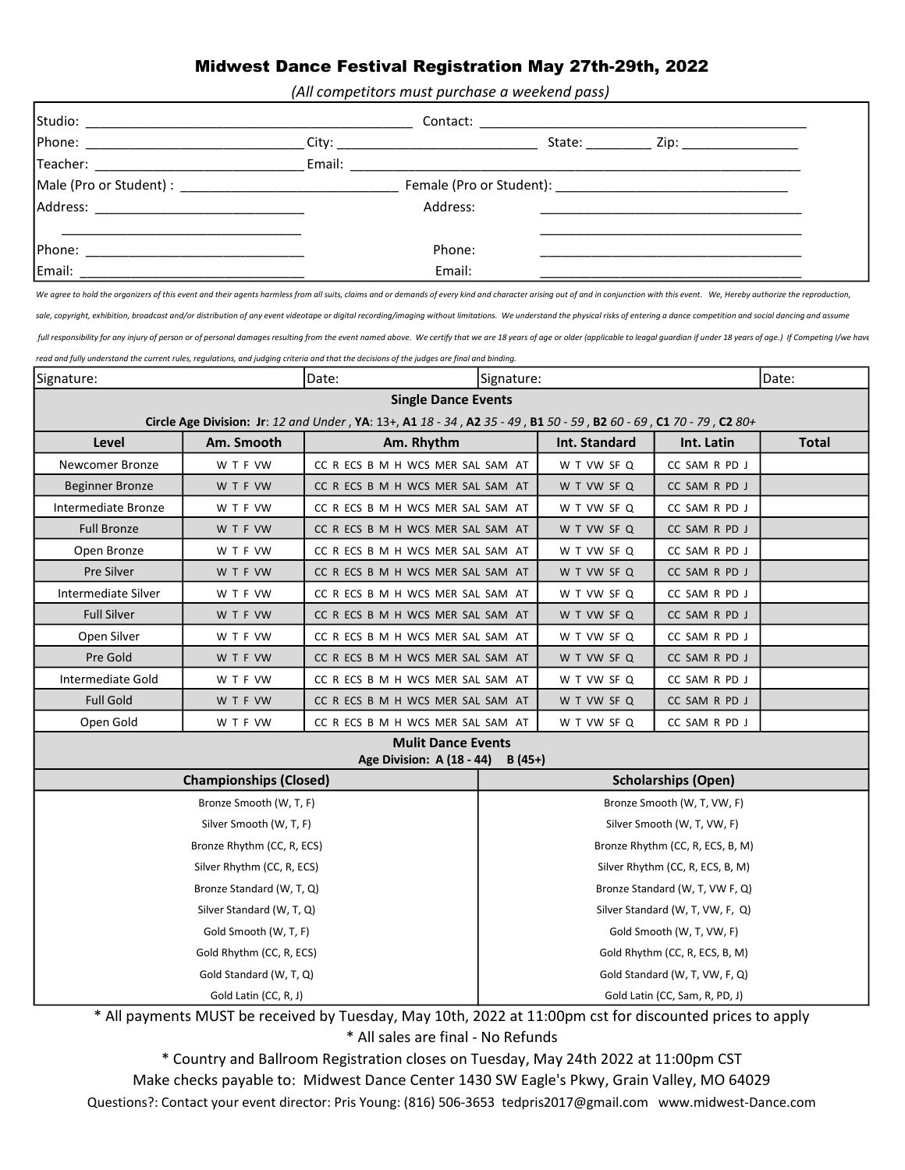#### Midwest Dance Festival Registration May 27th-29th, 2022

(All competitors must purchase a weekend pass)

|                                                                                                                | State:   | Zip: _________________ |
|----------------------------------------------------------------------------------------------------------------|----------|------------------------|
|                                                                                                                |          |                        |
|                                                                                                                |          |                        |
| Address: 2008 and 2008 and 2008 and 2008 and 2008 and 2008 and 2008 and 2008 and 2008 and 2008 and 2008 and 20 | Address: |                        |
|                                                                                                                | Phone:   |                        |
| Email:                                                                                                         | Email:   |                        |

We agree to hold the organizers of this event and their agents harmless from all suits, claims and or demands of every kind and character arising out of and in conjunction with this event. We, Hereby authorize the reproduc

sale, copyright, exhibition, broadcast and/or distribution of any event videotape or digital recording/imaging without limitations. We understand the physical risks of entering a dance competition and social dancing and as

read and fully understand the current rules, regulations, and judging criteria and that the decisions of the judges are final and binding. full responsibility for any injury of person or of personal damages resulting from the event named above. We certify that we are 18 years of age or older (applicable to leagal guardian if under 18 years of age.) If Competi

| Date:<br>Signature:           |                                                                                                                    | Signature:                        |                                  |                             | Date:         |              |  |
|-------------------------------|--------------------------------------------------------------------------------------------------------------------|-----------------------------------|----------------------------------|-----------------------------|---------------|--------------|--|
|                               | <b>Single Dance Events</b>                                                                                         |                                   |                                  |                             |               |              |  |
|                               | Circle Age Division: Jr: 12 and Under, YA: 13+, A1 18 - 34, A2 35 - 49, B1 50 - 59, B2 60 - 69, C1 70 - 79, C2 80+ |                                   |                                  |                             |               |              |  |
| Level                         | Am. Smooth                                                                                                         | Am. Rhythm                        |                                  | Int. Standard               | Int. Latin    | <b>Total</b> |  |
| <b>Newcomer Bronze</b>        | W T F VW                                                                                                           | CC R ECS B M H WCS MER SAL SAM AT |                                  | W T VW SF Q                 | CC SAM R PD J |              |  |
| <b>Beginner Bronze</b>        | W T F VW                                                                                                           | CC R ECS B M H WCS MER SAL SAM AT |                                  | W T VW SF Q                 | CC SAM R PD J |              |  |
| Intermediate Bronze           | W T F VW                                                                                                           | CC R ECS B M H WCS MER SAL SAM AT |                                  | W T VW SF Q                 | CC SAM R PD J |              |  |
| <b>Full Bronze</b>            | W T F VW                                                                                                           | CC R ECS B M H WCS MER SAL SAM AT |                                  | W T VW SF Q                 | CC SAM R PD J |              |  |
| Open Bronze                   | W T F VW                                                                                                           | CC R ECS B M H WCS MER SAL SAM AT |                                  | W T VW SF Q                 | CC SAM R PD J |              |  |
| Pre Silver                    | W T F VW                                                                                                           | CC R ECS B M H WCS MER SAL SAM AT |                                  | W T VW SF Q                 | CC SAM R PD J |              |  |
| Intermediate Silver           | W T F VW                                                                                                           | CC R ECS B M H WCS MER SAL SAM AT |                                  | W T VW SF Q                 | CC SAM R PD J |              |  |
| <b>Full Silver</b>            | W T F VW                                                                                                           | CC R ECS B M H WCS MER SAL SAM AT |                                  | W T VW SF Q                 | CC SAM R PD J |              |  |
| Open Silver                   | W T F VW                                                                                                           | CC R ECS B M H WCS MER SAL SAM AT |                                  | W T VW SF Q                 | CC SAM R PD J |              |  |
| Pre Gold                      | W T F VW                                                                                                           | CC R ECS B M H WCS MER SAL SAM AT |                                  | W T VW SF Q                 | CC SAM R PD J |              |  |
| Intermediate Gold             | W T F VW                                                                                                           | CC R ECS B M H WCS MER SAL SAM AT |                                  | W T VW SF Q                 | CC SAM R PD J |              |  |
| <b>Full Gold</b>              | W T F VW                                                                                                           | CC R ECS B M H WCS MER SAL SAM AT |                                  | W T VW SF Q                 | CC SAM R PD J |              |  |
| Open Gold                     | W T F VW                                                                                                           | CC R ECS B M H WCS MER SAL SAM AT |                                  | W T VW SF Q                 | CC SAM R PD J |              |  |
|                               |                                                                                                                    | <b>Mulit Dance Events</b>         |                                  |                             |               |              |  |
|                               |                                                                                                                    | Age Division: A (18 - 44)         | $B(45+)$                         |                             |               |              |  |
| <b>Championships (Closed)</b> |                                                                                                                    | <b>Scholarships (Open)</b>        |                                  |                             |               |              |  |
|                               | Bronze Smooth (W, T, F)                                                                                            |                                   |                                  | Bronze Smooth (W, T, VW, F) |               |              |  |
| Silver Smooth (W, T, F)       |                                                                                                                    |                                   | Silver Smooth (W, T, VW, F)      |                             |               |              |  |
| Bronze Rhythm (CC, R, ECS)    |                                                                                                                    |                                   | Bronze Rhythm (CC, R, ECS, B, M) |                             |               |              |  |
| Silver Rhythm (CC, R, ECS)    |                                                                                                                    |                                   | Silver Rhythm (CC, R, ECS, B, M) |                             |               |              |  |
| Bronze Standard (W, T, Q)     |                                                                                                                    |                                   | Bronze Standard (W, T, VW F, Q)  |                             |               |              |  |
| Silver Standard (W, T, Q)     |                                                                                                                    |                                   | Silver Standard (W, T, VW, F, Q) |                             |               |              |  |
| Gold Smooth (W, T, F)         |                                                                                                                    |                                   | Gold Smooth (W, T, VW, F)        |                             |               |              |  |
| Gold Rhythm (CC, R, ECS)      |                                                                                                                    | Gold Rhythm (CC, R, ECS, B, M)    |                                  |                             |               |              |  |
| Gold Standard (W, T, Q)       |                                                                                                                    | Gold Standard (W, T, VW, F, Q)    |                                  |                             |               |              |  |
| Gold Latin (CC, R, J)         |                                                                                                                    |                                   | Gold Latin (CC, Sam, R, PD, J)   |                             |               |              |  |

\* All payments MUST be received by Tuesday, May 10th, 2022 at 11:00pm cst for discounted prices to apply \* All sales are final - No Refunds

\* Country and Ballroom Registration closes on Tuesday, May 24th 2022 at 11:00pm CST

Make checks payable to: Midwest Dance Center 1430 SW Eagle's Pkwy, Grain Valley, MO 64029

Questions?: Contact your event director: Pris Young: (816) 506-3653 tedpris2017@gmail.com www.midwest-Dance.com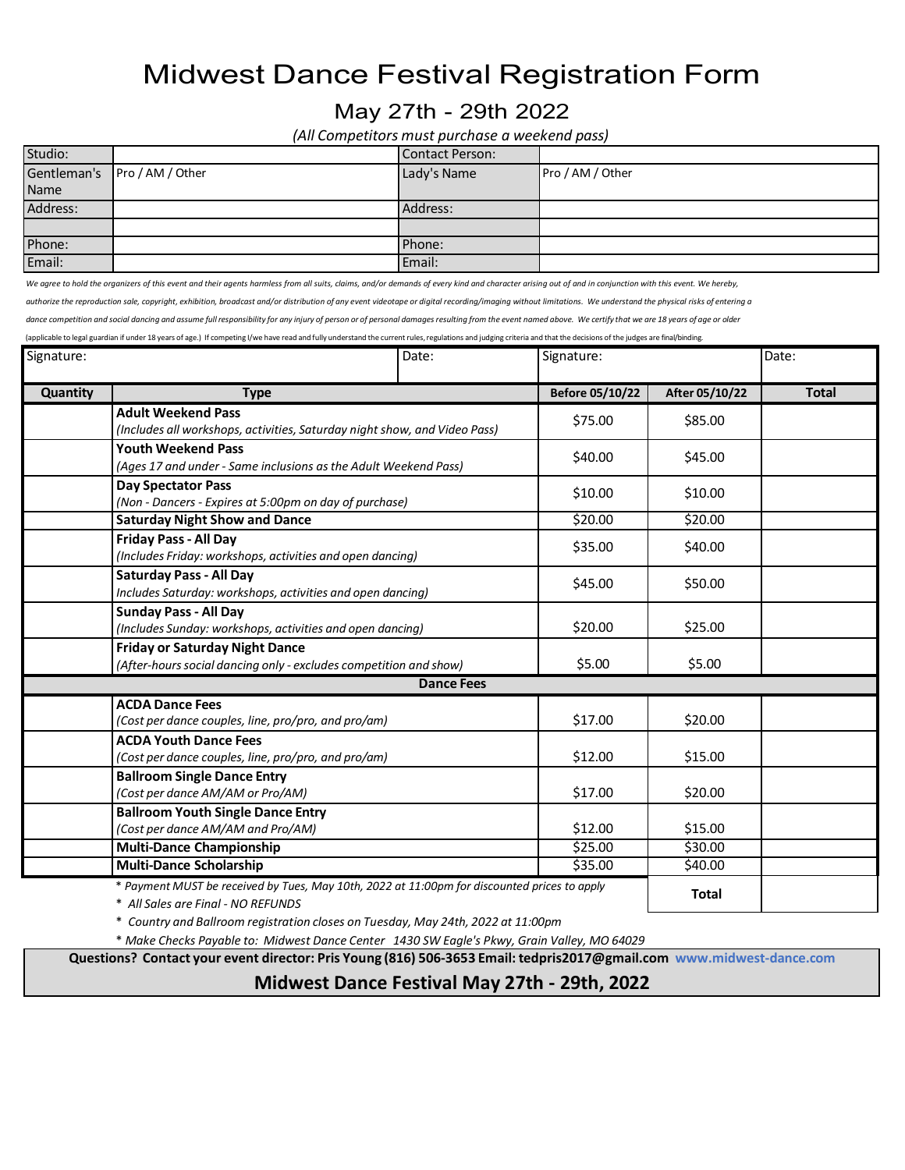# Midwest Dance Festival Registration Form

### May 27th - 29th 2022

*(All Competitors must purchase a weekend pass)*

| Studio:  |                              | <b>Contact Person:</b> |                  |  |  |
|----------|------------------------------|------------------------|------------------|--|--|
|          | Gentleman's Pro / AM / Other | Lady's Name            | Pro / AM / Other |  |  |
| Name     |                              |                        |                  |  |  |
| Address: |                              | Address:               |                  |  |  |
|          |                              |                        |                  |  |  |
| Phone:   |                              | Phone:                 |                  |  |  |
| Email:   |                              | Email:                 |                  |  |  |

We agree to hold the organizers of this event and their agents harmless from all suits, claims, and/or demands of every kind and character arising out of and in conjunction with this event. We hereby,

authorize the reproduction sale, copyright, exhibition, broadcast and/or distribution of any event videotape or digital recording/imaging without limitations. We understand the physical risks of entering a

dance competition and social dancing and assume full responsibility for any injury of person or of personal damages resulting from the event named above. We certify that we are 18 years of age or older

(applicable to legal guardian if under 18 years of age.) If competing I/we have read and fully understand the current rules, regulations and judging criteria and that the decisions of the judges are final/binding.

| Signature: |                                                                                                                                    | Date:             | Signature:      |                | Date:        |
|------------|------------------------------------------------------------------------------------------------------------------------------------|-------------------|-----------------|----------------|--------------|
| Quantity   | <b>Type</b>                                                                                                                        |                   | Before 05/10/22 | After 05/10/22 | <b>Total</b> |
|            | <b>Adult Weekend Pass</b><br>(Includes all workshops, activities, Saturday night show, and Video Pass)                             |                   | \$75.00         | \$85.00        |              |
|            | <b>Youth Weekend Pass</b><br>(Ages 17 and under - Same inclusions as the Adult Weekend Pass)                                       |                   | \$40.00         | \$45.00        |              |
|            | <b>Day Spectator Pass</b><br>(Non - Dancers - Expires at 5:00pm on day of purchase)                                                |                   | \$10.00         | \$10.00        |              |
|            | <b>Saturday Night Show and Dance</b>                                                                                               |                   | \$20.00         | \$20.00        |              |
|            | <b>Friday Pass - All Day</b><br>(Includes Friday: workshops, activities and open dancing)                                          |                   | \$35.00         | \$40.00        |              |
|            | <b>Saturday Pass - All Day</b><br>Includes Saturday: workshops, activities and open dancing)                                       |                   | \$45.00         | \$50.00        |              |
|            | <b>Sunday Pass - All Day</b><br>(Includes Sunday: workshops, activities and open dancing)                                          |                   | \$20.00         | \$25.00        |              |
|            | <b>Friday or Saturday Night Dance</b><br>(After-hours social dancing only - excludes competition and show)                         |                   | \$5.00          | \$5.00         |              |
|            |                                                                                                                                    | <b>Dance Fees</b> |                 |                |              |
|            | <b>ACDA Dance Fees</b><br>(Cost per dance couples, line, pro/pro, and pro/am)                                                      |                   | \$17.00         | \$20.00        |              |
|            | <b>ACDA Youth Dance Fees</b><br>(Cost per dance couples, line, pro/pro, and pro/am)                                                |                   | \$12.00         | \$15.00        |              |
|            | <b>Ballroom Single Dance Entry</b><br>(Cost per dance AM/AM or Pro/AM)                                                             |                   | \$17.00         | \$20.00        |              |
|            | <b>Ballroom Youth Single Dance Entry</b><br>(Cost per dance AM/AM and Pro/AM)                                                      |                   | \$12.00         | \$15.00        |              |
|            | <b>Multi-Dance Championship</b>                                                                                                    |                   | \$25.00         | \$30.00        |              |
|            | <b>Multi-Dance Scholarship</b>                                                                                                     |                   | \$35.00         | \$40.00        |              |
|            | * Payment MUST be received by Tues, May 10th, 2022 at 11:00pm for discounted prices to apply<br>* All Sales are Final - NO REFUNDS |                   |                 | <b>Total</b>   |              |

\* *Country and Ballroom registration closes on Tuesday, May 24th, 2022 at 11:00pm*

\* *Make Checks Payable to: Midwest Dance Center 1430 SW Eagle's Pkwy, Grain Valley, MO 64029*

**Questions? Contact your event director: Pris Young (816) 506-3653 Email: [tedpris2017@gmail.com](mailto:tedpris2017@gmail.com) [www.midwest-dance.com](http://www.midwest-dance.com/)**

**Midwest Dance Festival May 27th - 29th, 2022**